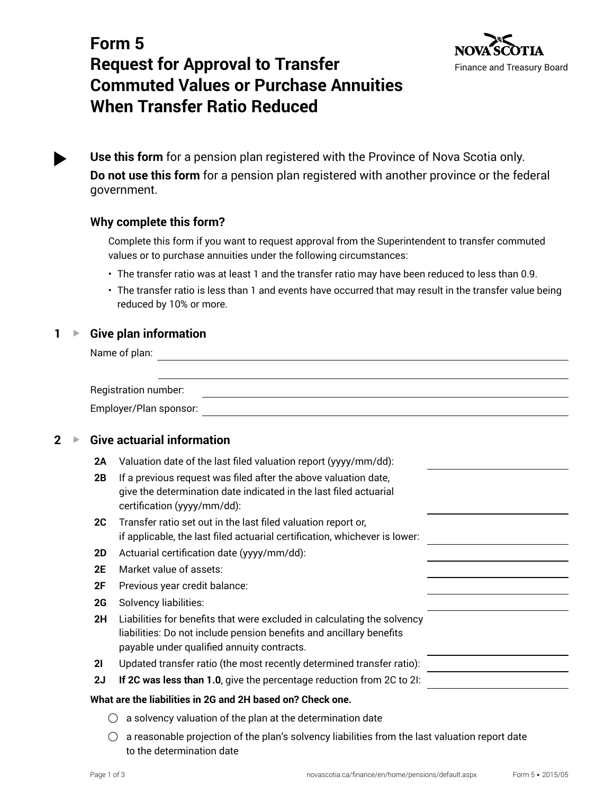

# **Form 5 Request for Approval to Transfer Commuted Values or Purchase Annuities When Transfer Ratio Reduced**

**Use this form** for a pension plan registered with the Province of Nova Scotia only. **Do not use this form** for a pension plan registered with another province or the federal government.

# **Why complete this form?**

Complete this form if you want to request approval from the Superintendent to transfer commuted values or to purchase annuities under the following circumstances:

- The transfer ratio was at least 1 and the transfer ratio may have been reduced to less than 0.9.
- The transfer ratio is less than 1 and events have occurred that may result in the transfer value being reduced by 10% or more.

### **1** ▶ Give plan information

Name of plan:

| Registration number:   |  |
|------------------------|--|
| Employer/Plan sponsor: |  |

# **2 ▶ Give actuarial information**

- **2A** Valuation date of the last filed valuation report (yyyy/mm/dd):
- **2B** If a previous request was filed after the above valuation date, give the determination date indicated in the last filed actuarial certification (yyyy/mm/dd):
- **2C** Transfer ratio set out in the last filed valuation report or, if applicable, the last filed actuarial certification, whichever is lower:
- **2D** Actuarial certification date (yyyy/mm/dd):
- **2E** Market value of assets:
- **2F** Previous year credit balance:
- **2G** Solvency liabilities:
- **2H** Liabilities for benefits that were excluded in calculating the solvency liabilities: Do not include pension benefits and ancillary benefits payable under qualified annuity contracts.

**2I** Updated transfer ratio (the most recently determined transfer ratio):

**2J If 2C was less than 1.0**, give the percentage reduction from 2C to 2I:

#### **What are the liabilities in 2G and 2H based on? Check one.**

- $\bigcirc$  a solvency valuation of the plan at the determination date
- $\bigcirc$  a reasonable projection of the plan's solvency liabilities from the last valuation report date to the determination date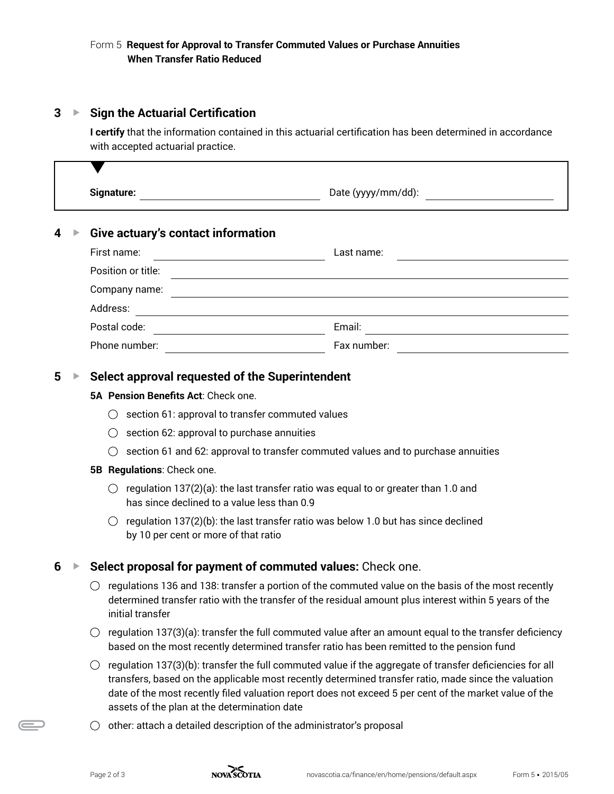# **3 ▶ Sign the Actuarial Certification**

**I certify** that the information contained in this actuarial certification has been determined in accordance with accepted actuarial practice.

|                                                                 |                                            | Signature:<br>Date (yyyy/mm/dd):                                                                                                                                                                                                                                                                                                                                                         |  |  |
|-----------------------------------------------------------------|--------------------------------------------|------------------------------------------------------------------------------------------------------------------------------------------------------------------------------------------------------------------------------------------------------------------------------------------------------------------------------------------------------------------------------------------|--|--|
|                                                                 |                                            | <b>Give actuary's contact information</b>                                                                                                                                                                                                                                                                                                                                                |  |  |
|                                                                 |                                            | First name:<br>Last name:<br><u> 1980 - Johann Barbara, martin e</u>                                                                                                                                                                                                                                                                                                                     |  |  |
|                                                                 |                                            | Position or title:                                                                                                                                                                                                                                                                                                                                                                       |  |  |
|                                                                 |                                            | Company name:<br><u> 1980 - Johann Stoff, amerikansk politiker (d. 1980)</u>                                                                                                                                                                                                                                                                                                             |  |  |
|                                                                 |                                            | Address:<br><u> 1989 - Johann Stoff, deutscher Stoffen und der Stoffen und der Stoffen und der Stoffen und der Stoffen und de</u>                                                                                                                                                                                                                                                        |  |  |
|                                                                 |                                            |                                                                                                                                                                                                                                                                                                                                                                                          |  |  |
|                                                                 |                                            | Fax number:<br>Phone number: <u>_______________________________</u>                                                                                                                                                                                                                                                                                                                      |  |  |
| 5                                                               |                                            | Select approval requested of the Superintendent                                                                                                                                                                                                                                                                                                                                          |  |  |
|                                                                 | 5A Pension Benefits Act: Check one.        |                                                                                                                                                                                                                                                                                                                                                                                          |  |  |
|                                                                 |                                            | section 61: approval to transfer commuted values                                                                                                                                                                                                                                                                                                                                         |  |  |
|                                                                 | section 62: approval to purchase annuities |                                                                                                                                                                                                                                                                                                                                                                                          |  |  |
|                                                                 |                                            | section 61 and 62: approval to transfer commuted values and to purchase annuities                                                                                                                                                                                                                                                                                                        |  |  |
| 5B Regulations: Check one.                                      |                                            |                                                                                                                                                                                                                                                                                                                                                                                          |  |  |
|                                                                 |                                            | regulation 137(2)(a): the last transfer ratio was equal to or greater than 1.0 and<br>has since declined to a value less than 0.9                                                                                                                                                                                                                                                        |  |  |
|                                                                 |                                            | regulation 137(2)(b): the last transfer ratio was below 1.0 but has since declined<br>( )<br>by 10 per cent or more of that ratio                                                                                                                                                                                                                                                        |  |  |
| Select proposal for payment of commuted values: Check one.<br>6 |                                            |                                                                                                                                                                                                                                                                                                                                                                                          |  |  |
|                                                                 |                                            | regulations 136 and 138: transfer a portion of the commuted value on the basis of the most recently<br>determined transfer ratio with the transfer of the residual amount plus interest within 5 years of the<br>initial transfer                                                                                                                                                        |  |  |
|                                                                 |                                            | regulation 137(3)(a): transfer the full commuted value after an amount equal to the transfer deficiency<br>$\left(\right)$<br>based on the most recently determined transfer ratio has been remitted to the pension fund                                                                                                                                                                 |  |  |
|                                                                 |                                            | regulation 137(3)(b): transfer the full commuted value if the aggregate of transfer deficiencies for all<br>$\bigcirc$<br>transfers, based on the applicable most recently determined transfer ratio, made since the valuation<br>date of the most recently filed valuation report does not exceed 5 per cent of the market value of the<br>assets of the plan at the determination date |  |  |
|                                                                 |                                            |                                                                                                                                                                                                                                                                                                                                                                                          |  |  |

 $\bigcirc$  other: attach a detailed description of the administrator's proposal